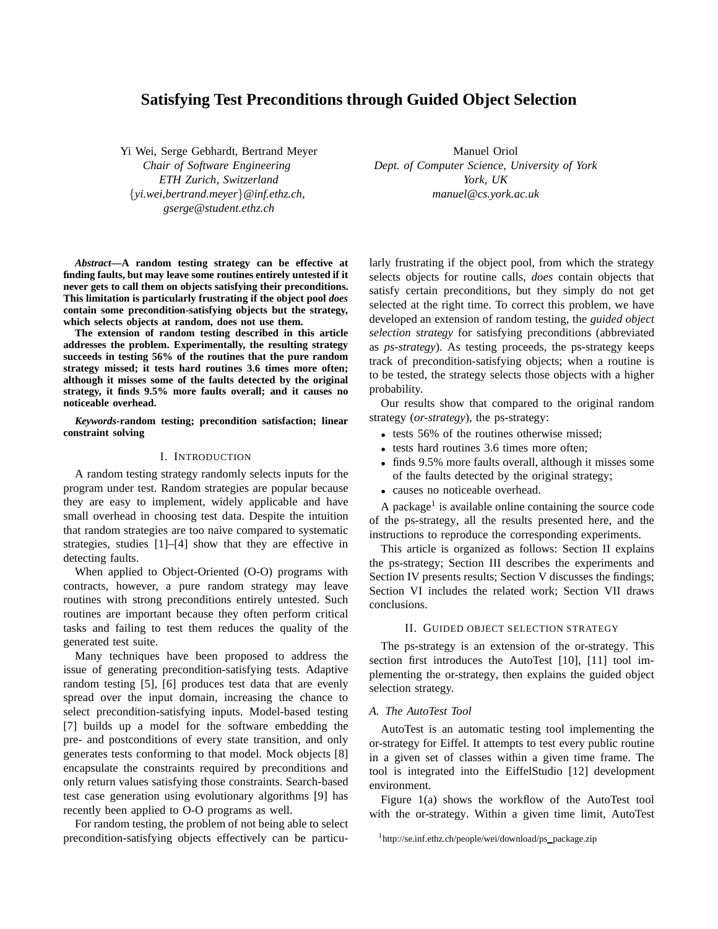# **Satisfying Test Preconditions through Guided Object Selection**

Yi Wei, Serge Gebhardt, Bertrand Meyer *Chair of Software Engineering ETH Zurich, Switzerland* {*yi.wei,bertrand.meyer*}*@inf.ethz.ch, gserge@student.ethz.ch*

*Abstract***—A random testing strategy can be effective at finding faults, but may leave some routines entirely untested if it never gets to call them on objects satisfying their preconditions. This limitation is particularly frustrating if the object pool** *does* **contain some precondition-satisfying objects but the strategy, which selects objects at random, does not use them.**

**The extension of random testing described in this article addresses the problem. Experimentally, the resulting strategy succeeds in testing 56% of the routines that the pure random strategy missed; it tests hard routines 3.6 times more often; although it misses some of the faults detected by the original strategy, it finds 9.5% more faults overall; and it causes no noticeable overhead.**

*Keywords***-random testing; precondition satisfaction; linear constraint solving**

# I. INTRODUCTION

A random testing strategy randomly selects inputs for the program under test. Random strategies are popular because they are easy to implement, widely applicable and have small overhead in choosing test data. Despite the intuition that random strategies are too naive compared to systematic strategies, studies [1]–[4] show that they are effective in detecting faults.

When applied to Object-Oriented (O-O) programs with contracts, however, a pure random strategy may leave routines with strong preconditions entirely untested. Such routines are important because they often perform critical tasks and failing to test them reduces the quality of the generated test suite.

Many techniques have been proposed to address the issue of generating precondition-satisfying tests. Adaptive random testing [5], [6] produces test data that are evenly spread over the input domain, increasing the chance to select precondition-satisfying inputs. Model-based testing [7] builds up a model for the software embedding the pre- and postconditions of every state transition, and only generates tests conforming to that model. Mock objects [8] encapsulate the constraints required by preconditions and only return values satisfying those constraints. Search-based test case generation using evolutionary algorithms [9] has recently been applied to O-O programs as well.

For random testing, the problem of not being able to select precondition-satisfying objects effectively can be particu-

Manuel Oriol *Dept. of Computer Science, University of York York, UK manuel@cs.york.ac.uk*

larly frustrating if the object pool, from which the strategy selects objects for routine calls, *does* contain objects that satisfy certain preconditions, but they simply do not get selected at the right time. To correct this problem, we have developed an extension of random testing, the *guided object selection strategy* for satisfying preconditions (abbreviated as *ps-strategy*). As testing proceeds, the ps-strategy keeps track of precondition-satisfying objects; when a routine is to be tested, the strategy selects those objects with a higher probability.

Our results show that compared to the original random strategy (*or-strategy*), the ps-strategy:

- tests 56% of the routines otherwise missed;
- tests hard routines 3.6 times more often;
- finds 9.5% more faults overall, although it misses some of the faults detected by the original strategy;
- causes no noticeable overhead.

A package<sup>1</sup> is available online containing the source code of the ps-strategy, all the results presented here, and the instructions to reproduce the corresponding experiments.

This article is organized as follows: Section II explains the ps-strategy; Section III describes the experiments and Section IV presents results; Section V discusses the findings; Section VI includes the related work; Section VII draws conclusions.

#### II. GUIDED OBJECT SELECTION STRATEGY

The ps-strategy is an extension of the or-strategy. This section first introduces the AutoTest [10], [11] tool implementing the or-strategy, then explains the guided object selection strategy.

#### *A. The AutoTest Tool*

AutoTest is an automatic testing tool implementing the or-strategy for Eiffel. It attempts to test every public routine in a given set of classes within a given time frame. The tool is integrated into the EiffelStudio [12] development environment.

Figure 1(a) shows the workflow of the AutoTest tool with the or-strategy. Within a given time limit, AutoTest

<sup>1</sup>http://se.inf.ethz.ch/people/wei/download/ps package.zip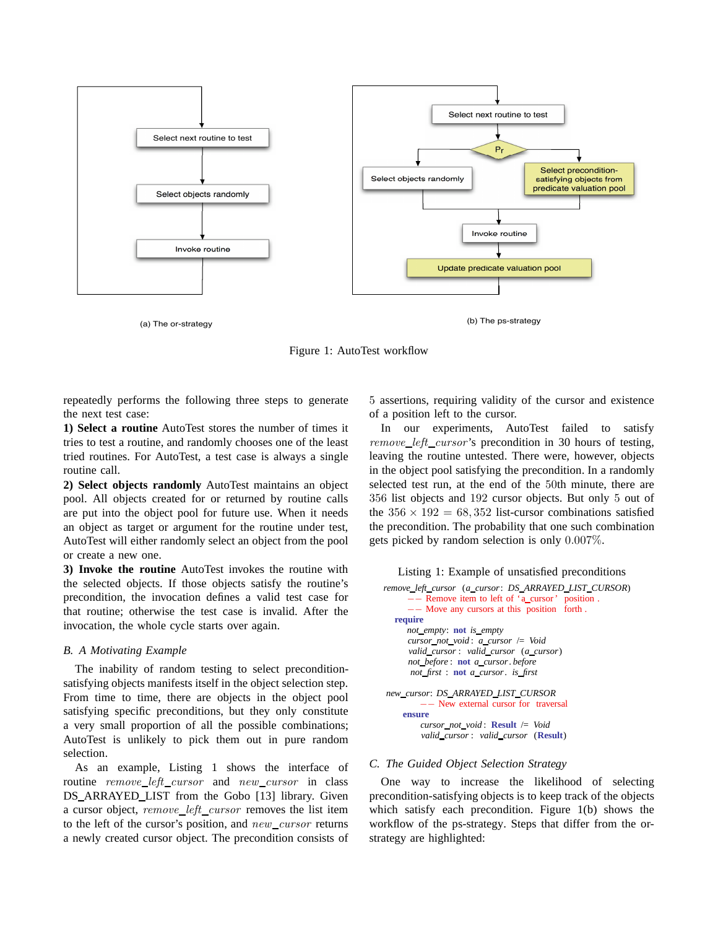

(a) The or-strategy (b) The ps-strategy

Figure 1: AutoTest workflow

repeatedly performs the following three steps to generate the next test case:

**1) Select a routine** AutoTest stores the number of times it tries to test a routine, and randomly chooses one of the least tried routines. For AutoTest, a test case is always a single routine call.

**2) Select objects randomly** AutoTest maintains an object pool. All objects created for or returned by routine calls are put into the object pool for future use. When it needs an object as target or argument for the routine under test, AutoTest will either randomly select an object from the pool or create a new one.

**3) Invoke the routine** AutoTest invokes the routine with the selected objects. If those objects satisfy the routine's precondition, the invocation defines a valid test case for that routine; otherwise the test case is invalid. After the invocation, the whole cycle starts over again.

# *B. A Motivating Example*

The inability of random testing to select preconditionsatisfying objects manifests itself in the object selection step. From time to time, there are objects in the object pool satisfying specific preconditions, but they only constitute a very small proportion of all the possible combinations; AutoTest is unlikely to pick them out in pure random selection.

As an example, Listing 1 shows the interface of routine remove\_left\_cursor and new\_cursor in class DS ARRAYED LIST from the Gobo [13] library. Given a cursor object, remove\_left\_cursor removes the list item to the left of the cursor's position, and  $new\_cursor$  returns a newly created cursor object. The precondition consists of 5 assertions, requiring validity of the cursor and existence of a position left to the cursor.

In our experiments, AutoTest failed to satisfy remove left cursor 's precondition in 30 hours of testing, leaving the routine untested. There were, however, objects in the object pool satisfying the precondition. In a randomly selected test run, at the end of the 50th minute, there are 356 list objects and 192 cursor objects. But only 5 out of the  $356 \times 192 = 68,352$  list-cursor combinations satisfied the precondition. The probability that one such combination gets picked by random selection is only 0.007%.



```
remove left cursor (a cursor: DS ARRAYED LIST CURSOR)
     −− Remove item to left of 'a cursor ' position .
      −− Move any cursors at this position forth .
  require
     not empty: not is empty
     cursor not void : a cursor /= Void
      valid cursor : valid cursor (a cursor)
     not before : not a cursor. before
      not first : not a cursor. is first
new cursor: DS ARRAYED LIST CURSOR
         −− New external cursor for traversal
    ensure
        cursor not void : Result /= Void
```

```
valid cursor : valid cursor (Result)
```
# *C. The Guided Object Selection Strategy*

One way to increase the likelihood of selecting precondition-satisfying objects is to keep track of the objects which satisfy each precondition. Figure 1(b) shows the workflow of the ps-strategy. Steps that differ from the orstrategy are highlighted: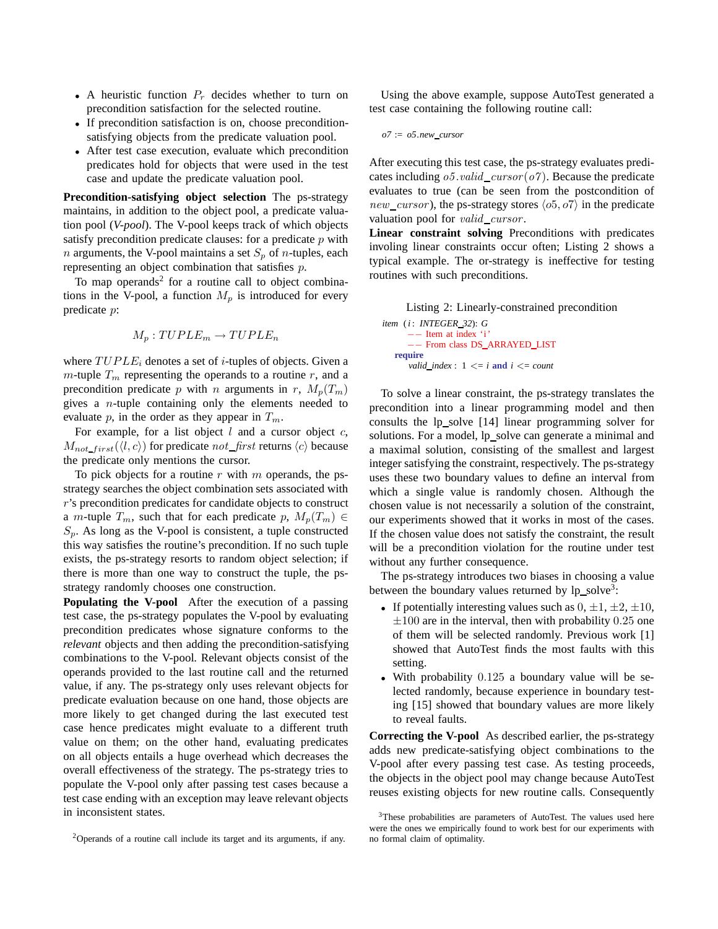- A heuristic function  $P_r$  decides whether to turn on precondition satisfaction for the selected routine.
- If precondition satisfaction is on, choose preconditionsatisfying objects from the predicate valuation pool.
- After test case execution, evaluate which precondition predicates hold for objects that were used in the test case and update the predicate valuation pool.

**Precondition-satisfying object selection** The ps-strategy maintains, in addition to the object pool, a predicate valuation pool (*V-pool*). The V-pool keeps track of which objects satisfy precondition predicate clauses: for a predicate  $p$  with *n* arguments, the V-pool maintains a set  $S_p$  of *n*-tuples, each representing an object combination that satisfies p.

To map operands<sup>2</sup> for a routine call to object combinations in the V-pool, a function  $M_p$  is introduced for every predicate p:

$$
M_p: TUPLE_m \to TUPLE_n
$$

where  $TUPLE_i$  denotes a set of *i*-tuples of objects. Given a m-tuple  $T_m$  representing the operands to a routine r, and a precondition predicate p with n arguments in r,  $M_p(T_m)$ gives a  $n$ -tuple containing only the elements needed to evaluate p, in the order as they appear in  $T_m$ .

For example, for a list object  $l$  and a cursor object  $c$ ,  $M_{not\_first}(\langle l, c \rangle)$  for predicate not first returns  $\langle c \rangle$  because the predicate only mentions the cursor.

To pick objects for a routine  $r$  with  $m$  operands, the psstrategy searches the object combination sets associated with r's precondition predicates for candidate objects to construct a *m*-tuple  $T_m$ , such that for each predicate p,  $M_p(T_m) \in$  $S_p$ . As long as the V-pool is consistent, a tuple constructed this way satisfies the routine's precondition. If no such tuple exists, the ps-strategy resorts to random object selection; if there is more than one way to construct the tuple, the psstrategy randomly chooses one construction.

**Populating the V-pool** After the execution of a passing test case, the ps-strategy populates the V-pool by evaluating precondition predicates whose signature conforms to the *relevant* objects and then adding the precondition-satisfying combinations to the V-pool. Relevant objects consist of the operands provided to the last routine call and the returned value, if any. The ps-strategy only uses relevant objects for predicate evaluation because on one hand, those objects are more likely to get changed during the last executed test case hence predicates might evaluate to a different truth value on them; on the other hand, evaluating predicates on all objects entails a huge overhead which decreases the overall effectiveness of the strategy. The ps-strategy tries to populate the V-pool only after passing test cases because a test case ending with an exception may leave relevant objects in inconsistent states.

Using the above example, suppose AutoTest generated a test case containing the following routine call:

```
o7 := o5.new cursor
```
After executing this test case, the ps-strategy evaluates predicates including  $\sigma$ 5.*valid cursor* ( $\sigma$ 7). Because the predicate evaluates to true (can be seen from the postcondition of new\_cursor), the ps-strategy stores  $\langle o5, o7 \rangle$  in the predicate valuation pool for  $valid\_cursor$ .

**Linear constraint solving** Preconditions with predicates involing linear constraints occur often; Listing 2 shows a typical example. The or-strategy is ineffective for testing routines with such preconditions.

Listing 2: Linearly-constrained precondition

*item* (*i* : *INTEGER 32*): *G* −− Item at index 'i ' −− From class DS ARRAYED LIST **require** *valid\_index* :  $1 \leq i$  **and**  $i \leq j$  *count* 

To solve a linear constraint, the ps-strategy translates the precondition into a linear programming model and then consults the lp\_solve [14] linear programming solver for solutions. For a model, lp\_solve can generate a minimal and a maximal solution, consisting of the smallest and largest integer satisfying the constraint, respectively. The ps-strategy uses these two boundary values to define an interval from which a single value is randomly chosen. Although the chosen value is not necessarily a solution of the constraint, our experiments showed that it works in most of the cases. If the chosen value does not satisfy the constraint, the result will be a precondition violation for the routine under test without any further consequence.

The ps-strategy introduces two biases in choosing a value between the boundary values returned by  $lp\_solve^3$ :

- If potentially interesting values such as  $0, \pm 1, \pm 2, \pm 10$ ,  $\pm 100$  are in the interval, then with probability 0.25 one of them will be selected randomly. Previous work [1] showed that AutoTest finds the most faults with this setting.
- With probability 0.125 a boundary value will be selected randomly, because experience in boundary testing [15] showed that boundary values are more likely to reveal faults.

**Correcting the V-pool** As described earlier, the ps-strategy adds new predicate-satisfying object combinations to the V-pool after every passing test case. As testing proceeds, the objects in the object pool may change because AutoTest reuses existing objects for new routine calls. Consequently

<sup>2</sup>Operands of a routine call include its target and its arguments, if any.

<sup>&</sup>lt;sup>3</sup>These probabilities are parameters of AutoTest. The values used here were the ones we empirically found to work best for our experiments with no formal claim of optimality.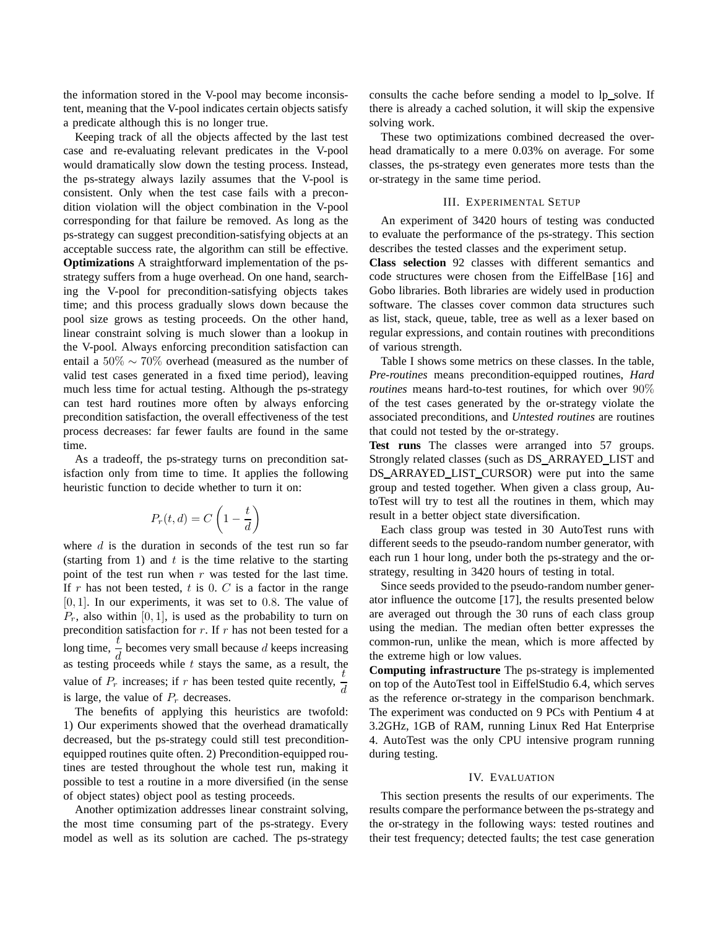the information stored in the V-pool may become inconsistent, meaning that the V-pool indicates certain objects satisfy a predicate although this is no longer true.

Keeping track of all the objects affected by the last test case and re-evaluating relevant predicates in the V-pool would dramatically slow down the testing process. Instead, the ps-strategy always lazily assumes that the V-pool is consistent. Only when the test case fails with a precondition violation will the object combination in the V-pool corresponding for that failure be removed. As long as the ps-strategy can suggest precondition-satisfying objects at an acceptable success rate, the algorithm can still be effective. **Optimizations** A straightforward implementation of the psstrategy suffers from a huge overhead. On one hand, searching the V-pool for precondition-satisfying objects takes time; and this process gradually slows down because the pool size grows as testing proceeds. On the other hand, linear constraint solving is much slower than a lookup in the V-pool. Always enforcing precondition satisfaction can entail a 50% ∼ 70% overhead (measured as the number of valid test cases generated in a fixed time period), leaving much less time for actual testing. Although the ps-strategy can test hard routines more often by always enforcing precondition satisfaction, the overall effectiveness of the test process decreases: far fewer faults are found in the same time.

As a tradeoff, the ps-strategy turns on precondition satisfaction only from time to time. It applies the following heuristic function to decide whether to turn it on:

$$
P_r(t,d) = C\left(1 - \frac{t}{d}\right)
$$

where  $d$  is the duration in seconds of the test run so far (starting from 1) and  $t$  is the time relative to the starting point of the test run when  $r$  was tested for the last time. If r has not been tested, t is 0.  $C$  is a factor in the range  $[0, 1]$ . In our experiments, it was set to 0.8. The value of  $P_r$ , also within [0, 1], is used as the probability to turn on precondition satisfaction for  $r$ . If  $r$  has not been tested for a long time,  $\frac{t}{d}$  becomes very small because d keeps increasing as testing proceeds while  $t$  stays the same, as a result, the value of  $P_r$  increases; if r has been tested quite recently,  $\frac{t}{d}$ is large, the value of  $P_r$  decreases.

The benefits of applying this heuristics are twofold: 1) Our experiments showed that the overhead dramatically decreased, but the ps-strategy could still test preconditionequipped routines quite often. 2) Precondition-equipped routines are tested throughout the whole test run, making it possible to test a routine in a more diversified (in the sense of object states) object pool as testing proceeds.

Another optimization addresses linear constraint solving, the most time consuming part of the ps-strategy. Every model as well as its solution are cached. The ps-strategy consults the cache before sending a model to lp\_solve. If there is already a cached solution, it will skip the expensive solving work.

These two optimizations combined decreased the overhead dramatically to a mere 0.03% on average. For some classes, the ps-strategy even generates more tests than the or-strategy in the same time period.

# III. EXPERIMENTAL SETUP

An experiment of 3420 hours of testing was conducted to evaluate the performance of the ps-strategy. This section describes the tested classes and the experiment setup.

**Class selection** 92 classes with different semantics and code structures were chosen from the EiffelBase [16] and Gobo libraries. Both libraries are widely used in production software. The classes cover common data structures such as list, stack, queue, table, tree as well as a lexer based on regular expressions, and contain routines with preconditions of various strength.

Table I shows some metrics on these classes. In the table, *Pre-routines* means precondition-equipped routines, *Hard routines* means hard-to-test routines, for which over 90% of the test cases generated by the or-strategy violate the associated preconditions, and *Untested routines* are routines that could not tested by the or-strategy.

**Test runs** The classes were arranged into 57 groups. Strongly related classes (such as DS ARRAYED LIST and DS ARRAYED LIST CURSOR) were put into the same group and tested together. When given a class group, AutoTest will try to test all the routines in them, which may result in a better object state diversification.

Each class group was tested in 30 AutoTest runs with different seeds to the pseudo-random number generator, with each run 1 hour long, under both the ps-strategy and the orstrategy, resulting in 3420 hours of testing in total.

Since seeds provided to the pseudo-random number generator influence the outcome [17], the results presented below are averaged out through the 30 runs of each class group using the median. The median often better expresses the common-run, unlike the mean, which is more affected by the extreme high or low values.

**Computing infrastructure** The ps-strategy is implemented on top of the AutoTest tool in EiffelStudio 6.4, which serves as the reference or-strategy in the comparison benchmark. The experiment was conducted on 9 PCs with Pentium 4 at 3.2GHz, 1GB of RAM, running Linux Red Hat Enterprise 4. AutoTest was the only CPU intensive program running during testing.

# IV. EVALUATION

This section presents the results of our experiments. The results compare the performance between the ps-strategy and the or-strategy in the following ways: tested routines and their test frequency; detected faults; the test case generation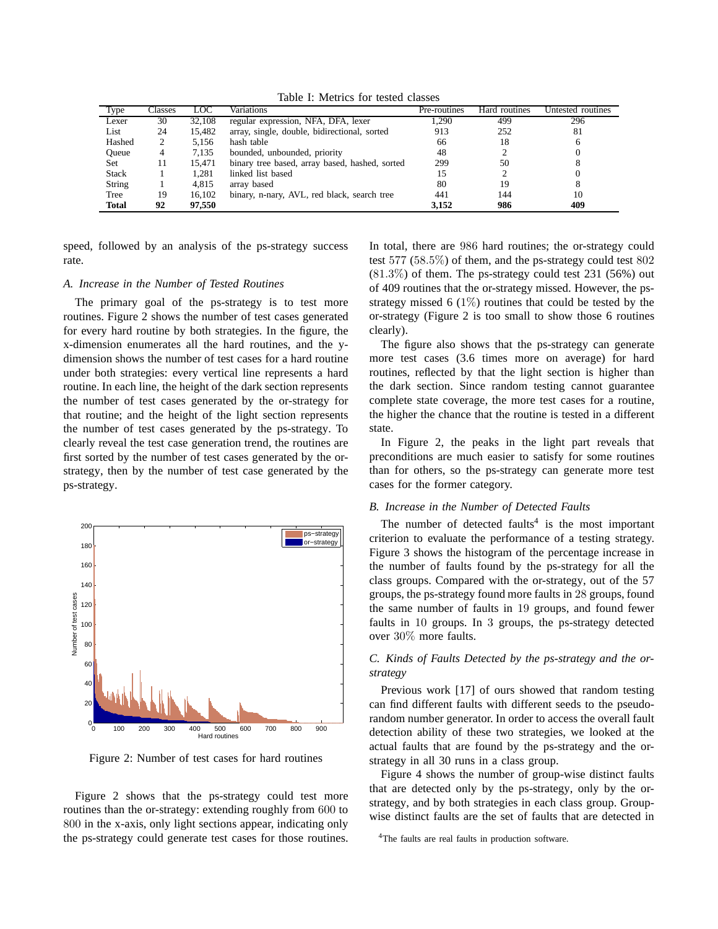| Type         | Classes | LOC    | Variations                                     | Pre-routines | Hard routines | Untested routines |
|--------------|---------|--------|------------------------------------------------|--------------|---------------|-------------------|
| Lexer        | 30      | 32,108 | regular expression, NFA, DFA, lexer            | 1,290        | 499           | 296               |
| List         | 24      | 15,482 | array, single, double, bidirectional, sorted   | 913          | 252           | 81                |
| Hashed       | 2       | 5.156  | hash table                                     | 66           | 18            |                   |
| Oueue        | 4       | 7,135  | bounded, unbounded, priority                   | 48           |               |                   |
| Set          | 11      | 15.471 | binary tree based, array based, hashed, sorted | 299          | 50            |                   |
| <b>Stack</b> |         | 1.281  | linked list based                              |              |               |                   |
| String       |         | 4.815  | array based                                    | 80           | 19            |                   |
| Tree         | 19      | 16.102 | binary, n-nary, AVL, red black, search tree    | 441          | 144           | 10                |
| <b>Total</b> | 92      | 97.550 |                                                | 3.152        | 986           | 409               |

Table I: Metrics for tested classes

speed, followed by an analysis of the ps-strategy success rate.

# *A. Increase in the Number of Tested Routines*

The primary goal of the ps-strategy is to test more routines. Figure 2 shows the number of test cases generated for every hard routine by both strategies. In the figure, the x-dimension enumerates all the hard routines, and the ydimension shows the number of test cases for a hard routine under both strategies: every vertical line represents a hard routine. In each line, the height of the dark section represents the number of test cases generated by the or-strategy for that routine; and the height of the light section represents the number of test cases generated by the ps-strategy. To clearly reveal the test case generation trend, the routines are first sorted by the number of test cases generated by the orstrategy, then by the number of test case generated by the ps-strategy.



Figure 2: Number of test cases for hard routines

Figure 2 shows that the ps-strategy could test more routines than the or-strategy: extending roughly from 600 to 800 in the x-axis, only light sections appear, indicating only the ps-strategy could generate test cases for those routines. In total, there are 986 hard routines; the or-strategy could test 577 (58.5%) of them, and the ps-strategy could test 802  $(81.3\%)$  of them. The ps-strategy could test 231 (56%) out of 409 routines that the or-strategy missed. However, the psstrategy missed 6  $(1\%)$  routines that could be tested by the or-strategy (Figure 2 is too small to show those 6 routines clearly).

The figure also shows that the ps-strategy can generate more test cases (3.6 times more on average) for hard routines, reflected by that the light section is higher than the dark section. Since random testing cannot guarantee complete state coverage, the more test cases for a routine, the higher the chance that the routine is tested in a different state.

In Figure 2, the peaks in the light part reveals that preconditions are much easier to satisfy for some routines than for others, so the ps-strategy can generate more test cases for the former category.

#### *B. Increase in the Number of Detected Faults*

The number of detected  $faults<sup>4</sup>$  is the most important criterion to evaluate the performance of a testing strategy. Figure 3 shows the histogram of the percentage increase in the number of faults found by the ps-strategy for all the class groups. Compared with the or-strategy, out of the 57 groups, the ps-strategy found more faults in 28 groups, found the same number of faults in 19 groups, and found fewer faults in 10 groups. In 3 groups, the ps-strategy detected over 30% more faults.

# *C. Kinds of Faults Detected by the ps-strategy and the orstrategy*

Previous work [17] of ours showed that random testing can find different faults with different seeds to the pseudorandom number generator. In order to access the overall fault detection ability of these two strategies, we looked at the actual faults that are found by the ps-strategy and the orstrategy in all 30 runs in a class group.

Figure 4 shows the number of group-wise distinct faults that are detected only by the ps-strategy, only by the orstrategy, and by both strategies in each class group. Groupwise distinct faults are the set of faults that are detected in

<sup>&</sup>lt;sup>4</sup>The faults are real faults in production software.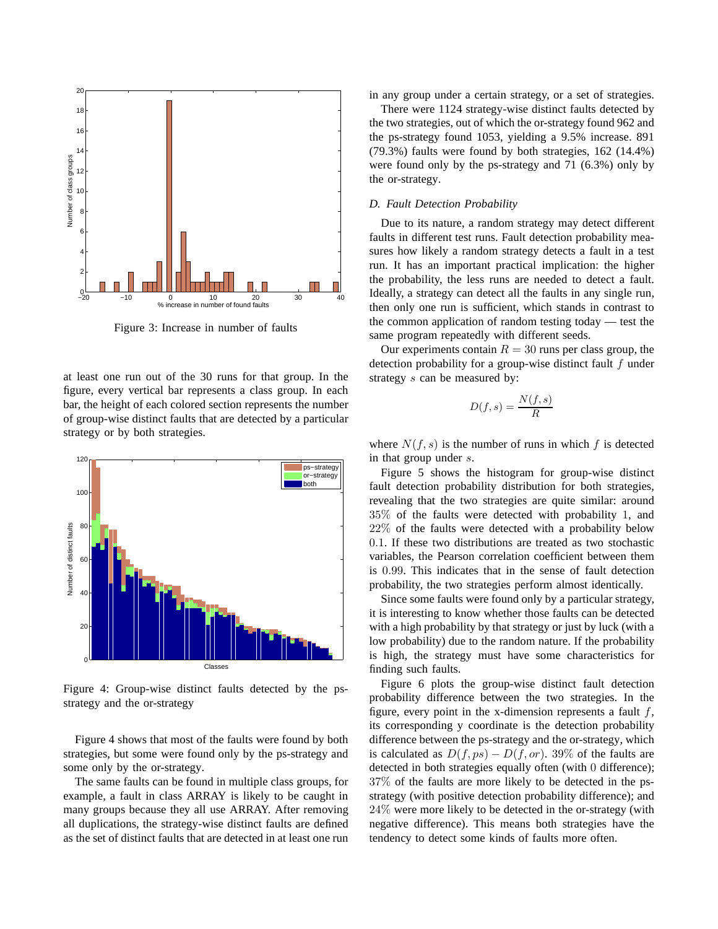

Figure 3: Increase in number of faults

at least one run out of the 30 runs for that group. In the figure, every vertical bar represents a class group. In each bar, the height of each colored section represents the number of group-wise distinct faults that are detected by a particular strategy or by both strategies.



Figure 4: Group-wise distinct faults detected by the psstrategy and the or-strategy

Figure 4 shows that most of the faults were found by both strategies, but some were found only by the ps-strategy and some only by the or-strategy.

The same faults can be found in multiple class groups, for example, a fault in class ARRAY is likely to be caught in many groups because they all use ARRAY. After removing all duplications, the strategy-wise distinct faults are defined as the set of distinct faults that are detected in at least one run in any group under a certain strategy, or a set of strategies.

There were 1124 strategy-wise distinct faults detected by the two strategies, out of which the or-strategy found 962 and the ps-strategy found 1053, yielding a 9.5% increase. 891 (79.3%) faults were found by both strategies, 162 (14.4%) were found only by the ps-strategy and 71 (6.3%) only by the or-strategy.

#### *D. Fault Detection Probability*

Due to its nature, a random strategy may detect different faults in different test runs. Fault detection probability measures how likely a random strategy detects a fault in a test run. It has an important practical implication: the higher the probability, the less runs are needed to detect a fault. Ideally, a strategy can detect all the faults in any single run, then only one run is sufficient, which stands in contrast to the common application of random testing today — test the same program repeatedly with different seeds.

Our experiments contain  $R = 30$  runs per class group, the detection probability for a group-wise distinct fault f under strategy s can be measured by:

$$
D(f,s) = \frac{N(f,s)}{R}
$$

where  $N(f, s)$  is the number of runs in which f is detected in that group under s.

Figure 5 shows the histogram for group-wise distinct fault detection probability distribution for both strategies, revealing that the two strategies are quite similar: around 35% of the faults were detected with probability 1, and 22% of the faults were detected with a probability below 0.1. If these two distributions are treated as two stochastic variables, the Pearson correlation coefficient between them is 0.99. This indicates that in the sense of fault detection probability, the two strategies perform almost identically.

Since some faults were found only by a particular strategy, it is interesting to know whether those faults can be detected with a high probability by that strategy or just by luck (with a low probability) due to the random nature. If the probability is high, the strategy must have some characteristics for finding such faults.

Figure 6 plots the group-wise distinct fault detection probability difference between the two strategies. In the figure, every point in the x-dimension represents a fault  $f$ , its corresponding y coordinate is the detection probability difference between the ps-strategy and the or-strategy, which is calculated as  $D(f, ps) - D(f, or)$ . 39% of the faults are detected in both strategies equally often (with 0 difference); 37% of the faults are more likely to be detected in the psstrategy (with positive detection probability difference); and 24% were more likely to be detected in the or-strategy (with negative difference). This means both strategies have the tendency to detect some kinds of faults more often.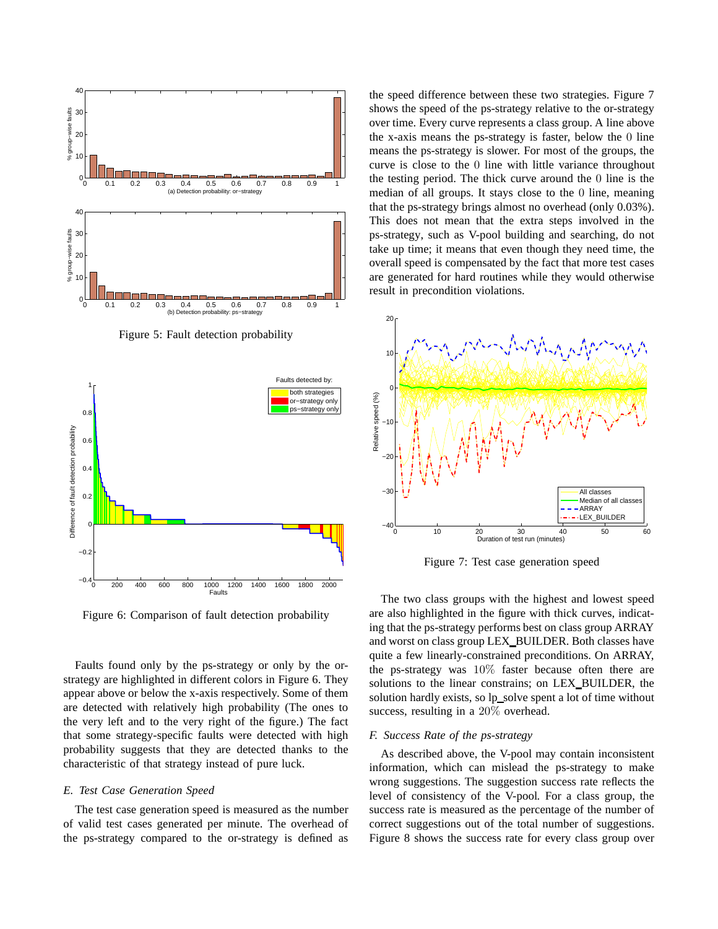

Figure 5: Fault detection probability



Figure 6: Comparison of fault detection probability

Faults found only by the ps-strategy or only by the orstrategy are highlighted in different colors in Figure 6. They appear above or below the x-axis respectively. Some of them are detected with relatively high probability (The ones to the very left and to the very right of the figure.) The fact that some strategy-specific faults were detected with high probability suggests that they are detected thanks to the characteristic of that strategy instead of pure luck.

# *E. Test Case Generation Speed*

The test case generation speed is measured as the number of valid test cases generated per minute. The overhead of the ps-strategy compared to the or-strategy is defined as the speed difference between these two strategies. Figure 7 shows the speed of the ps-strategy relative to the or-strategy over time. Every curve represents a class group. A line above the x-axis means the ps-strategy is faster, below the 0 line means the ps-strategy is slower. For most of the groups, the curve is close to the 0 line with little variance throughout the testing period. The thick curve around the 0 line is the median of all groups. It stays close to the 0 line, meaning that the ps-strategy brings almost no overhead (only 0.03%). This does not mean that the extra steps involved in the ps-strategy, such as V-pool building and searching, do not take up time; it means that even though they need time, the overall speed is compensated by the fact that more test cases are generated for hard routines while they would otherwise result in precondition violations.



Figure 7: Test case generation speed

The two class groups with the highest and lowest speed are also highlighted in the figure with thick curves, indicating that the ps-strategy performs best on class group ARRAY and worst on class group LEX BUILDER. Both classes have quite a few linearly-constrained preconditions. On ARRAY, the ps-strategy was 10% faster because often there are solutions to the linear constrains; on LEX\_BUILDER, the solution hardly exists, so lp\_solve spent a lot of time without success, resulting in a 20% overhead.

# *F. Success Rate of the ps-strategy*

As described above, the V-pool may contain inconsistent information, which can mislead the ps-strategy to make wrong suggestions. The suggestion success rate reflects the level of consistency of the V-pool. For a class group, the success rate is measured as the percentage of the number of correct suggestions out of the total number of suggestions. Figure 8 shows the success rate for every class group over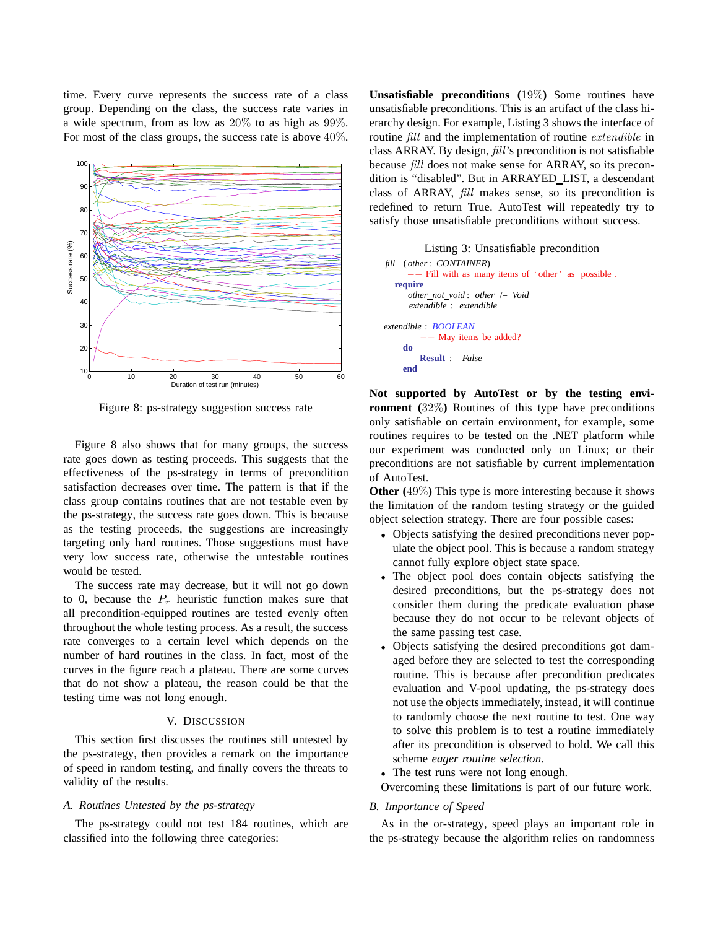time. Every curve represents the success rate of a class group. Depending on the class, the success rate varies in a wide spectrum, from as low as 20% to as high as 99%. For most of the class groups, the success rate is above 40%.



Figure 8: ps-strategy suggestion success rate

Figure 8 also shows that for many groups, the success rate goes down as testing proceeds. This suggests that the effectiveness of the ps-strategy in terms of precondition satisfaction decreases over time. The pattern is that if the class group contains routines that are not testable even by the ps-strategy, the success rate goes down. This is because as the testing proceeds, the suggestions are increasingly targeting only hard routines. Those suggestions must have very low success rate, otherwise the untestable routines would be tested.

The success rate may decrease, but it will not go down to 0, because the  $P_r$  heuristic function makes sure that all precondition-equipped routines are tested evenly often throughout the whole testing process. As a result, the success rate converges to a certain level which depends on the number of hard routines in the class. In fact, most of the curves in the figure reach a plateau. There are some curves that do not show a plateau, the reason could be that the testing time was not long enough.

# V. DISCUSSION

This section first discusses the routines still untested by the ps-strategy, then provides a remark on the importance of speed in random testing, and finally covers the threats to validity of the results.

# *A. Routines Untested by the ps-strategy*

The ps-strategy could not test 184 routines, which are classified into the following three categories:

**Unsatisfiable preconditions (**19%**)** Some routines have unsatisfiable preconditions. This is an artifact of the class hierarchy design. For example, Listing 3 shows the interface of routine fill and the implementation of routine extendible in class ARRAY. By design, fill's precondition is not satisfiable because fill does not make sense for ARRAY, so its precondition is "disabled". But in ARRAYED LIST, a descendant class of ARRAY, fill makes sense, so its precondition is redefined to return True. AutoTest will repeatedly try to satisfy those unsatisfiable preconditions without success.

```
Listing 3: Unsatisfiable precondition
fill ( other: CONTAINER)
       −− Fill with as many items of ' other ' as possible .
  require
     other not void : other /= Void
     extendible : extendible
extendible : BOOLEAN
          −− May items be added?
    do
        Result := False
    end
```
**Not supported by AutoTest or by the testing environment (**32%**)** Routines of this type have preconditions only satisfiable on certain environment, for example, some routines requires to be tested on the .NET platform while our experiment was conducted only on Linux; or their preconditions are not satisfiable by current implementation of AutoTest.

**Other (**49%**)** This type is more interesting because it shows the limitation of the random testing strategy or the guided object selection strategy. There are four possible cases:

- Objects satisfying the desired preconditions never populate the object pool. This is because a random strategy cannot fully explore object state space.
- The object pool does contain objects satisfying the desired preconditions, but the ps-strategy does not consider them during the predicate evaluation phase because they do not occur to be relevant objects of the same passing test case.
- Objects satisfying the desired preconditions got damaged before they are selected to test the corresponding routine. This is because after precondition predicates evaluation and V-pool updating, the ps-strategy does not use the objects immediately, instead, it will continue to randomly choose the next routine to test. One way to solve this problem is to test a routine immediately after its precondition is observed to hold. We call this scheme *eager routine selection*.
- The test runs were not long enough.
- Overcoming these limitations is part of our future work.

#### *B. Importance of Speed*

As in the or-strategy, speed plays an important role in the ps-strategy because the algorithm relies on randomness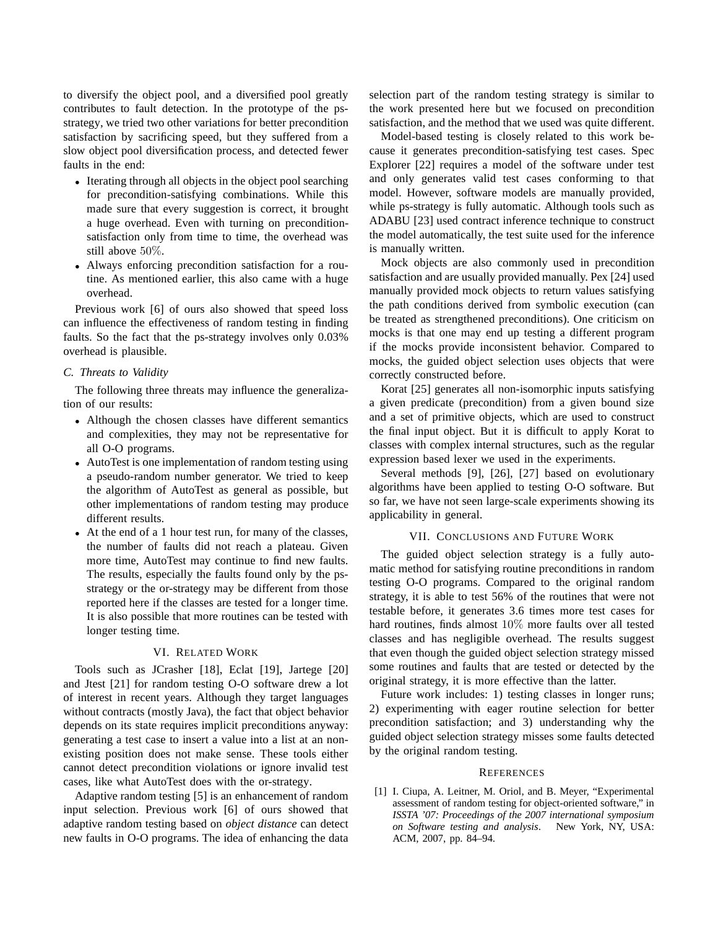to diversify the object pool, and a diversified pool greatly contributes to fault detection. In the prototype of the psstrategy, we tried two other variations for better precondition satisfaction by sacrificing speed, but they suffered from a slow object pool diversification process, and detected fewer faults in the end:

- Iterating through all objects in the object pool searching for precondition-satisfying combinations. While this made sure that every suggestion is correct, it brought a huge overhead. Even with turning on preconditionsatisfaction only from time to time, the overhead was still above 50%.
- Always enforcing precondition satisfaction for a routine. As mentioned earlier, this also came with a huge overhead.

Previous work [6] of ours also showed that speed loss can influence the effectiveness of random testing in finding faults. So the fact that the ps-strategy involves only 0.03% overhead is plausible.

# *C. Threats to Validity*

The following three threats may influence the generalization of our results:

- Although the chosen classes have different semantics and complexities, they may not be representative for all O-O programs.
- AutoTest is one implementation of random testing using a pseudo-random number generator. We tried to keep the algorithm of AutoTest as general as possible, but other implementations of random testing may produce different results.
- At the end of a 1 hour test run, for many of the classes, the number of faults did not reach a plateau. Given more time, AutoTest may continue to find new faults. The results, especially the faults found only by the psstrategy or the or-strategy may be different from those reported here if the classes are tested for a longer time. It is also possible that more routines can be tested with longer testing time.

# VI. RELATED WORK

Tools such as JCrasher [18], Eclat [19], Jartege [20] and Jtest [21] for random testing O-O software drew a lot of interest in recent years. Although they target languages without contracts (mostly Java), the fact that object behavior depends on its state requires implicit preconditions anyway: generating a test case to insert a value into a list at an nonexisting position does not make sense. These tools either cannot detect precondition violations or ignore invalid test cases, like what AutoTest does with the or-strategy.

Adaptive random testing [5] is an enhancement of random input selection. Previous work [6] of ours showed that adaptive random testing based on *object distance* can detect new faults in O-O programs. The idea of enhancing the data selection part of the random testing strategy is similar to the work presented here but we focused on precondition satisfaction, and the method that we used was quite different.

Model-based testing is closely related to this work because it generates precondition-satisfying test cases. Spec Explorer [22] requires a model of the software under test and only generates valid test cases conforming to that model. However, software models are manually provided, while ps-strategy is fully automatic. Although tools such as ADABU [23] used contract inference technique to construct the model automatically, the test suite used for the inference is manually written.

Mock objects are also commonly used in precondition satisfaction and are usually provided manually. Pex [24] used manually provided mock objects to return values satisfying the path conditions derived from symbolic execution (can be treated as strengthened preconditions). One criticism on mocks is that one may end up testing a different program if the mocks provide inconsistent behavior. Compared to mocks, the guided object selection uses objects that were correctly constructed before.

Korat [25] generates all non-isomorphic inputs satisfying a given predicate (precondition) from a given bound size and a set of primitive objects, which are used to construct the final input object. But it is difficult to apply Korat to classes with complex internal structures, such as the regular expression based lexer we used in the experiments.

Several methods [9], [26], [27] based on evolutionary algorithms have been applied to testing O-O software. But so far, we have not seen large-scale experiments showing its applicability in general.

# VII. CONCLUSIONS AND FUTURE WORK

The guided object selection strategy is a fully automatic method for satisfying routine preconditions in random testing O-O programs. Compared to the original random strategy, it is able to test 56% of the routines that were not testable before, it generates 3.6 times more test cases for hard routines, finds almost 10% more faults over all tested classes and has negligible overhead. The results suggest that even though the guided object selection strategy missed some routines and faults that are tested or detected by the original strategy, it is more effective than the latter.

Future work includes: 1) testing classes in longer runs; 2) experimenting with eager routine selection for better precondition satisfaction; and 3) understanding why the guided object selection strategy misses some faults detected by the original random testing.

#### **REFERENCES**

[1] I. Ciupa, A. Leitner, M. Oriol, and B. Meyer, "Experimental assessment of random testing for object-oriented software," in *ISSTA '07: Proceedings of the 2007 international symposium on Software testing and analysis*. New York, NY, USA: ACM, 2007, pp. 84–94.